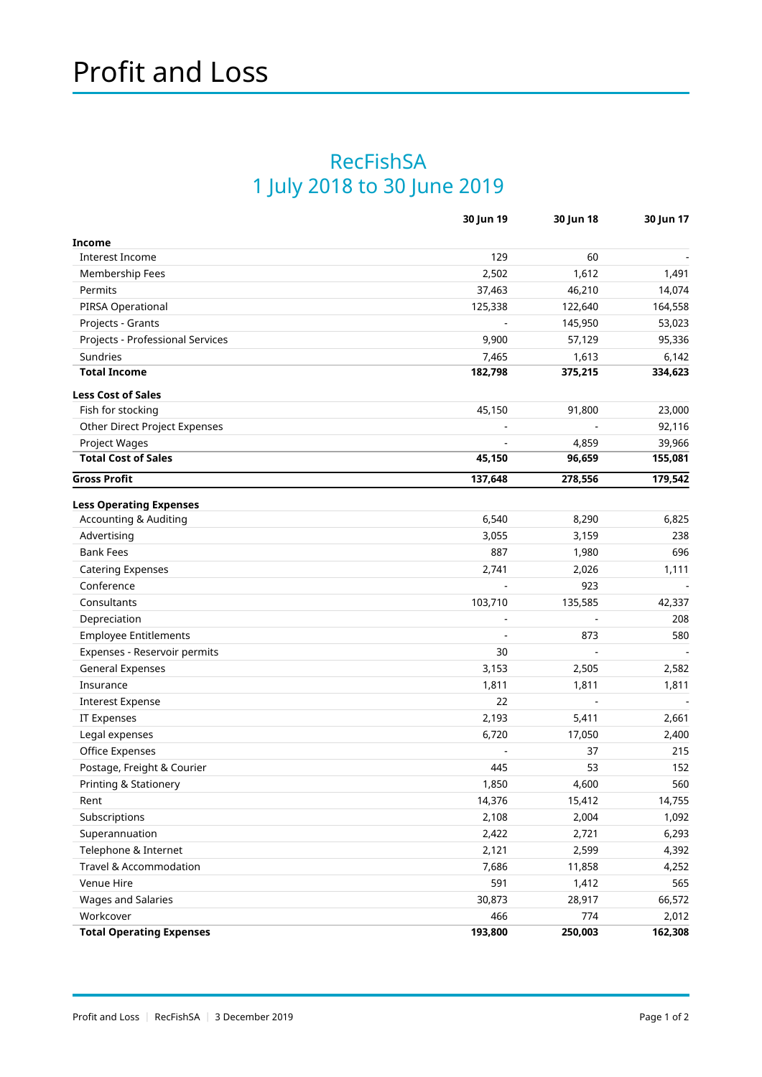## **RecFishSA** 1 July 2018 to 30 June 2019

|                                   | 30 Jun 19 | 30 Jun 18 | 30 Jun 17 |
|-----------------------------------|-----------|-----------|-----------|
| <b>Income</b>                     |           |           |           |
| Interest Income                   | 129       | 60        |           |
| Membership Fees                   | 2,502     | 1,612     | 1,491     |
| Permits                           | 37,463    | 46,210    | 14,074    |
| PIRSA Operational                 | 125,338   | 122,640   | 164,558   |
| Projects - Grants                 |           | 145,950   | 53,023    |
| Projects - Professional Services  | 9,900     | 57,129    | 95,336    |
| Sundries                          | 7,465     | 1,613     | 6,142     |
| <b>Total Income</b>               | 182,798   | 375,215   | 334,623   |
| <b>Less Cost of Sales</b>         |           |           |           |
| Fish for stocking                 | 45,150    | 91,800    | 23,000    |
| Other Direct Project Expenses     |           |           | 92,116    |
| Project Wages                     |           | 4,859     | 39,966    |
| <b>Total Cost of Sales</b>        | 45,150    | 96,659    | 155,081   |
| <b>Gross Profit</b>               | 137,648   | 278,556   | 179,542   |
| <b>Less Operating Expenses</b>    |           |           |           |
| Accounting & Auditing             | 6,540     | 8,290     | 6,825     |
| Advertising                       | 3,055     | 3,159     | 238       |
| <b>Bank Fees</b>                  | 887       | 1,980     | 696       |
| <b>Catering Expenses</b>          | 2,741     | 2,026     | 1,111     |
| Conference                        |           | 923       |           |
| Consultants                       | 103,710   | 135,585   | 42,337    |
| Depreciation                      |           |           | 208       |
| <b>Employee Entitlements</b>      |           | 873       | 580       |
| Expenses - Reservoir permits      | 30        |           |           |
| <b>General Expenses</b>           | 3,153     | 2,505     | 2,582     |
| Insurance                         | 1,811     | 1,811     | 1,811     |
| <b>Interest Expense</b>           | 22        |           |           |
| IT Expenses                       | 2,193     | 5,411     | 2,661     |
| Legal expenses                    | 6,720     | 17,050    | 2,400     |
| Office Expenses                   |           | 37        | 215       |
| Postage, Freight & Courier        | 445       | 53        | 152       |
| Printing & Stationery             | 1,850     | 4,600     | 560       |
| Rent                              | 14,376    | 15,412    | 14,755    |
| Subscriptions                     | 2,108     | 2,004     | 1,092     |
| Superannuation                    | 2,422     | 2,721     | 6,293     |
| Telephone & Internet              | 2,121     | 2,599     | 4,392     |
| <b>Travel &amp; Accommodation</b> | 7,686     | 11,858    | 4,252     |
| Venue Hire                        | 591       | 1,412     | 565       |
| Wages and Salaries                | 30,873    | 28,917    | 66,572    |
| Workcover                         | 466       | 774       | 2,012     |
| <b>Total Operating Expenses</b>   | 193,800   | 250,003   | 162,308   |